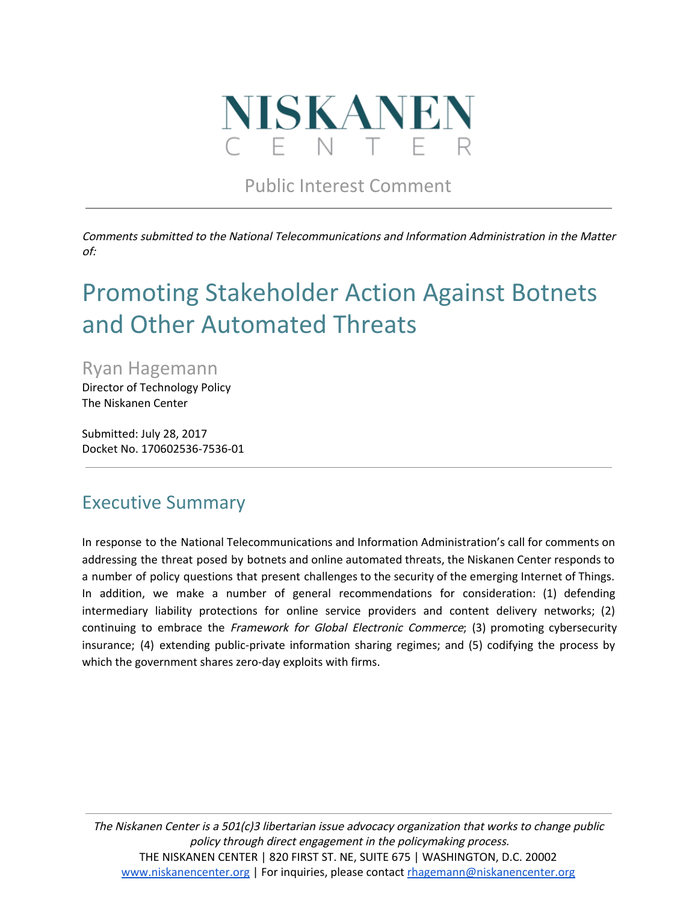

Public Interest Comment

Comments submitted to the National Telecommunications and Information Administration in the Matter of:

# Promoting Stakeholder Action Against Botnets and Other Automated Threats

Ryan Hagemann

Director of Technology Policy The Niskanen Center

Submitted: July 28, 2017 Docket No. 170602536-7536-01

### Executive Summary

In response to the National Telecommunications and Information Administration's call for comments on addressing the threat posed by botnets and online automated threats, the Niskanen Center responds to a number of policy questions that present challenges to the security of the emerging Internet of Things. In addition, we make a number of general recommendations for consideration: (1) defending intermediary liability protections for online service providers and content delivery networks; (2) continuing to embrace the Framework for Global Electronic Commerce; (3) promoting cybersecurity insurance; (4) extending public-private information sharing regimes; and (5) codifying the process by which the government shares zero-day exploits with firms.

The Niskanen Center is <sup>a</sup> 501(c)3 libertarian issue advocacy organization that works to change public policy through direct engagement in the policymaking process. THE NISKANEN CENTER | 820 FIRST ST. NE, SUITE 675 | WASHINGTON, D.C. 20002 [www.niskanencenter.org](http://www.niskanencenter.org/) | For inquiries, please contact [rhagemann@niskanencenter.org](mailto:rhagemann@niskanencenter.org)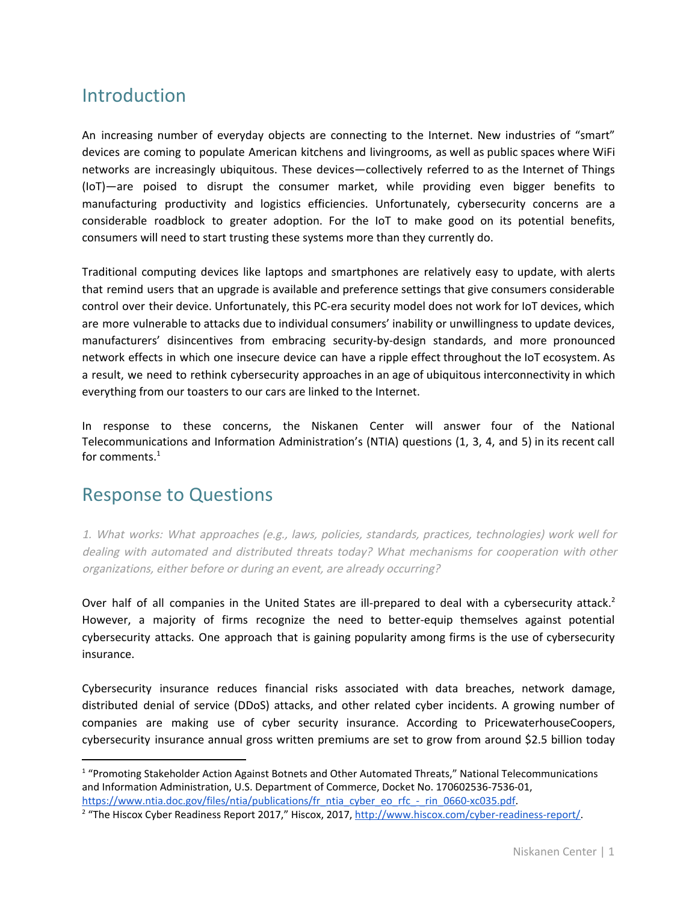# Introduction

An increasing number of everyday objects are connecting to the Internet. New industries of "smart" devices are coming to populate American kitchens and livingrooms, as well as public spaces where WiFi networks are increasingly ubiquitous. These devices—collectively referred to as the Internet of Things (IoT)—are poised to disrupt the consumer market, while providing even bigger benefits to manufacturing productivity and logistics efficiencies. Unfortunately, cybersecurity concerns are a considerable roadblock to greater adoption. For the IoT to make good on its potential benefits, consumers will need to start trusting these systems more than they currently do.

Traditional computing devices like laptops and smartphones are relatively easy to update, with alerts that remind users that an upgrade is available and preference settings that give consumers considerable control over their device. Unfortunately, this PC-era security model does not work for IoT devices, which are more vulnerable to attacks due to individual consumers' inability or unwillingness to update devices, manufacturers' disincentives from embracing security-by-design standards, and more pronounced network effects in which one insecure device can have a ripple effect throughout the IoT ecosystem. As a result, we need to rethink cybersecurity approaches in an age of ubiquitous interconnectivity in which everything from our toasters to our cars are linked to the Internet.

In response to these concerns, the Niskanen Center will answer four of the National Telecommunications and Information Administration's (NTIA) questions (1, 3, 4, and 5) in its recent call for comments. $^1$ 

### Response to Questions

1. What works: What approaches (e.g., laws, policies, standards, practices, technologies) work well for dealing with automated and distributed threats today? What mechanisms for cooperation with other organizations, either before or during an event, are already occurring?

Over half of all companies in the United States are ill-prepared to deal with a cybersecurity attack.<sup>2</sup> However, a majority of firms recognize the need to better-equip themselves against potential cybersecurity attacks. One approach that is gaining popularity among firms is the use of cybersecurity insurance.

Cybersecurity insurance reduces financial risks associated with data breaches, network damage, distributed denial of service (DDoS) attacks, and other related cyber incidents. A growing number of companies are making use of cyber security insurance. According to PricewaterhouseCoopers, cybersecurity insurance annual gross written premiums are set to grow from around \$2.5 billion today

<sup>&</sup>lt;sup>1</sup> "Promoting Stakeholder Action Against Botnets and Other Automated Threats," National Telecommunications and Information Administration, U.S. Department of Commerce, Docket No. 170602536-7536-01, [https://www.ntia.doc.gov/files/ntia/publications/fr\\_ntia\\_cyber\\_eo\\_rfc\\_-\\_rin\\_0660-xc035.pdf.](https://www.ntia.doc.gov/files/ntia/publications/fr_ntia_cyber_eo_rfc_-_rin_0660-xc035.pdf)

<sup>&</sup>lt;sup>2</sup> "The Hiscox Cyber Readiness Report 2017," Hiscox, 2017, [http://www.hiscox.com/cyber-readiness-report/.](http://www.hiscox.com/cyber-readiness-report/)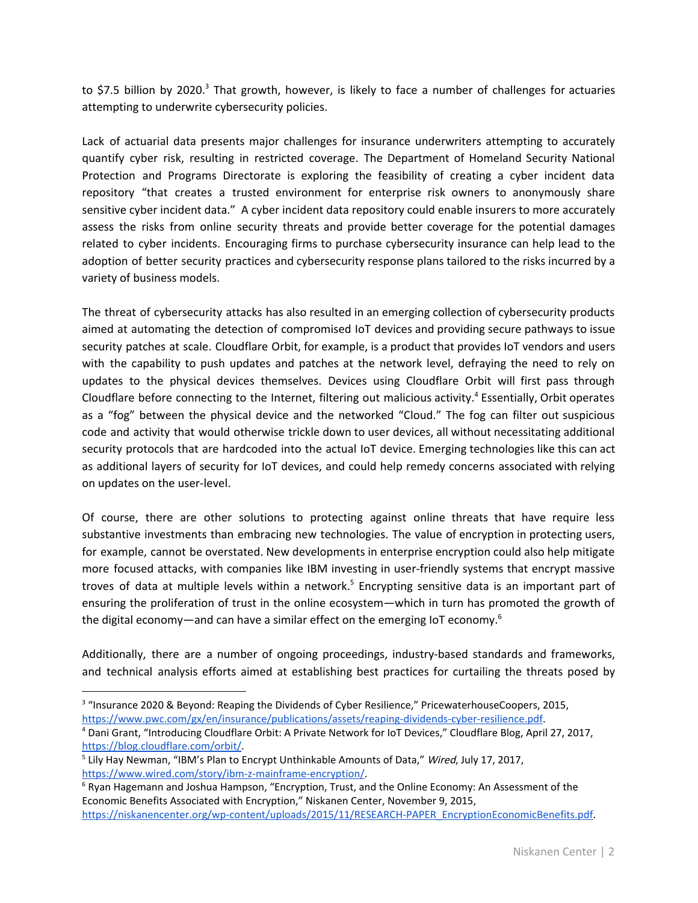to \$7.5 billion by 2020.<sup>3</sup> That growth, however, is likely to face a number of challenges for actuaries attempting to underwrite cybersecurity policies.

Lack of actuarial data presents major challenges for insurance underwriters attempting to accurately quantify cyber risk, resulting in restricted coverage. The Department of Homeland Security National Protection and Programs Directorate is exploring the feasibility of creating a cyber incident data repository "that creates a trusted environment for enterprise risk owners to anonymously share sensitive cyber incident data." A cyber incident data repository could enable insurers to more accurately assess the risks from online security threats and provide better coverage for the potential damages related to cyber incidents. Encouraging firms to purchase cybersecurity insurance can help lead to the adoption of better security practices and cybersecurity response plans tailored to the risks incurred by a variety of business models.

The threat of cybersecurity attacks has also resulted in an emerging collection of cybersecurity products aimed at automating the detection of compromised IoT devices and providing secure pathways to issue security patches at scale. Cloudflare Orbit, for example, is a product that provides IoT vendors and users with the capability to push updates and patches at the network level, defraying the need to rely on updates to the physical devices themselves. Devices using Cloudflare Orbit will first pass through Cloudflare before connecting to the Internet, filtering out malicious activity.<sup>4</sup> Essentially, Orbit operates as a "fog" between the physical device and the networked "Cloud." The fog can filter out suspicious code and activity that would otherwise trickle down to user devices, all without necessitating additional security protocols that are hardcoded into the actual IoT device. Emerging technologies like this can act as additional layers of security for IoT devices, and could help remedy concerns associated with relying on updates on the user-level.

Of course, there are other solutions to protecting against online threats that have require less substantive investments than embracing new technologies. The value of encryption in protecting users, for example, cannot be overstated. New developments in enterprise encryption could also help mitigate more focused attacks, with companies like IBM investing in user-friendly systems that encrypt massive troves of data at multiple levels within a network.<sup>5</sup> Encrypting sensitive data is an important part of ensuring the proliferation of trust in the online ecosystem—which in turn has promoted the growth of the digital economy—and can have a similar effect on the emerging IoT economy.<sup>6</sup>

Additionally, there are a number of ongoing proceedings, industry-based standards and frameworks, and technical analysis efforts aimed at establishing best practices for curtailing the threats posed by

<sup>&</sup>lt;sup>3</sup> "Insurance 2020 & Beyond: Reaping the Dividends of Cyber Resilience," PricewaterhouseCoopers, 2015, [https://www.pwc.com/gx/en/insurance/publications/assets/reaping-dividends-cyber-resilience.pdf.](https://www.pwc.com/gx/en/insurance/publications/assets/reaping-dividends-cyber-resilience.pdf)

<sup>4</sup> Dani Grant, "Introducing Cloudflare Orbit: A Private Network for IoT Devices," Cloudflare Blog, April 27, 2017, [https://blog.cloudflare.com/orbit/.](https://blog.cloudflare.com/orbit/)

<sup>&</sup>lt;sup>5</sup> Lily Hay Newman, "IBM's Plan to Encrypt Unthinkable Amounts of Data," Wired, July 17, 2017, [https://www.wired.com/story/ibm-z-mainframe-encryption/.](https://www.wired.com/story/ibm-z-mainframe-encryption/)

<sup>&</sup>lt;sup>6</sup> Ryan Hagemann and Joshua Hampson, "Encryption, Trust, and the Online Economy: An Assessment of the Economic Benefits Associated with Encryption," Niskanen Center, November 9, 2015, [https://niskanencenter.org/wp-content/uploads/2015/11/RESEARCH-PAPER\\_EncryptionEconomicBenefits.pdf](https://niskanencenter.org/wp-content/uploads/2015/11/RESEARCH-PAPER_EncryptionEconomicBenefits.pdf).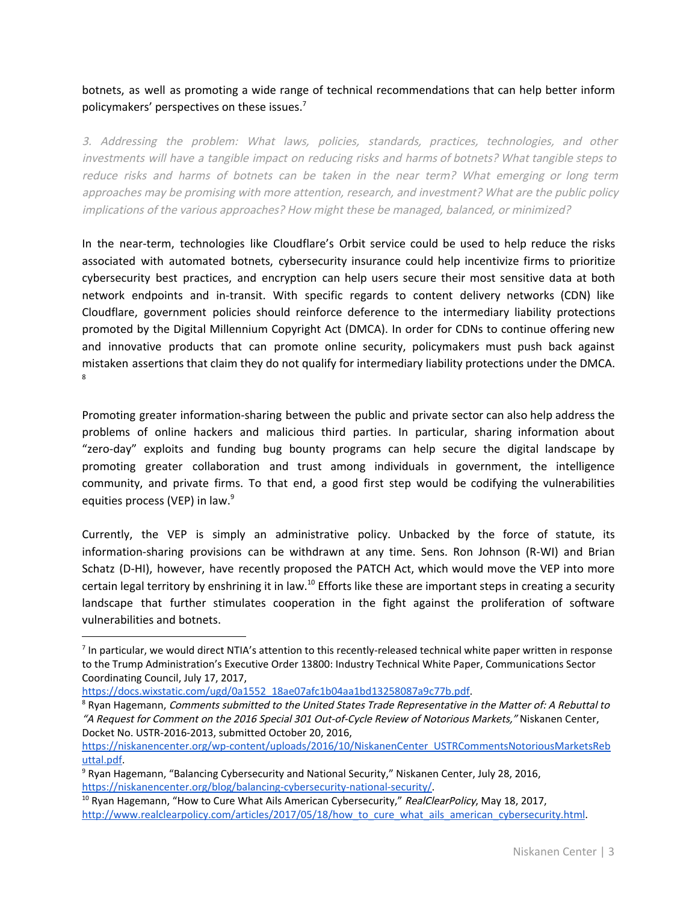#### botnets, as well as promoting a wide range of technical recommendations that can help better inform policymakers' perspectives on these issues.<sup>7</sup>

3. Addressing the problem: What laws, policies, standards, practices, technologies, and other investments will have <sup>a</sup> tangible impact on reducing risks and harms of botnets? What tangible steps to reduce risks and harms of botnets can be taken in the near term? What emerging or long term approaches may be promising with more attention, research, and investment? What are the public policy implications of the various approaches? How might these be managed, balanced, or minimized?

In the near-term, technologies like Cloudflare's Orbit service could be used to help reduce the risks associated with automated botnets, cybersecurity insurance could help incentivize firms to prioritize cybersecurity best practices, and encryption can help users secure their most sensitive data at both network endpoints and in-transit. With specific regards to content delivery networks (CDN) like Cloudflare, government policies should reinforce deference to the intermediary liability protections promoted by the Digital Millennium Copyright Act (DMCA). In order for CDNs to continue offering new and innovative products that can promote online security, policymakers must push back against mistaken assertions that claim they do not qualify for intermediary liability protections under the DMCA. 8

Promoting greater information-sharing between the public and private sector can also help address the problems of online hackers and malicious third parties. In particular, sharing information about "zero-day" exploits and funding bug bounty programs can help secure the digital landscape by promoting greater collaboration and trust among individuals in government, the intelligence community, and private firms. To that end, a good first step would be codifying the vulnerabilities equities process (VEP) in law.<sup>9</sup>

Currently, the VEP is simply an administrative policy. Unbacked by the force of statute, its information-sharing provisions can be withdrawn at any time. Sens. Ron Johnson (R-WI) and Brian Schatz (D-HI), however, have recently proposed the PATCH Act, which would move the VEP into more certain legal territory by enshrining it in law.<sup>10</sup> Efforts like these are important steps in creating a security landscape that further stimulates cooperation in the fight against the proliferation of software vulnerabilities and botnets.

<sup>&</sup>lt;sup>7</sup> In particular, we would direct NTIA's attention to this recently-released technical white paper written in response to the Trump Administration's Executive Order 13800: Industry Technical White Paper, Communications Sector Coordinating Council, July 17, 2017,

[https://docs.wixstatic.com/ugd/0a1552\\_18ae07afc1b04aa1bd13258087a9c77b.pdf](https://docs.wixstatic.com/ugd/0a1552_18ae07afc1b04aa1bd13258087a9c77b.pdf).

<sup>&</sup>lt;sup>8</sup> Ryan Hagemann, Comments submitted to the United States Trade Representative in the Matter of: A Rebuttal to "A Request for Comment on the <sup>2016</sup> Special <sup>301</sup> Out-of-Cycle Review of Notorious Markets," Niskanen Center, Docket No. USTR-2016-2013, submitted October 20, 2016,

[https://niskanencenter.org/wp-content/uploads/2016/10/NiskanenCenter\\_USTRCommentsNotoriousMarketsReb](https://niskanencenter.org/wp-content/uploads/2016/10/NiskanenCenter_USTRCommentsNotoriousMarketsRebuttal.pdf) [uttal.pdf](https://niskanencenter.org/wp-content/uploads/2016/10/NiskanenCenter_USTRCommentsNotoriousMarketsRebuttal.pdf).

<sup>&</sup>lt;sup>9</sup> Ryan Hagemann, "Balancing Cybersecurity and National Security," Niskanen Center, July 28, 2016, https://niskanencenter.org/blog/balancing-cybersecurity-national-security/

<sup>&</sup>lt;sup>10</sup> Ryan Hagemann, "How to Cure What Ails American Cybersecurity," RealClearPolicy, May 18, 2017, [http://www.realclearpolicy.com/articles/2017/05/18/how\\_to\\_cure\\_what\\_ails\\_american\\_cybersecurity.html.](http://www.realclearpolicy.com/articles/2017/05/18/how_to_cure_what_ails_american_cybersecurity.html)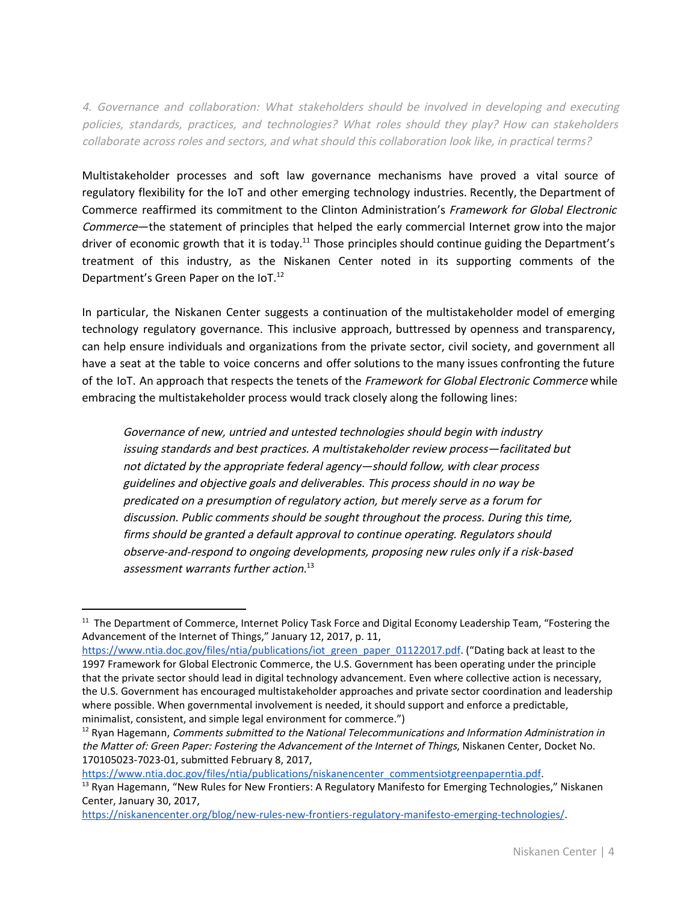4. Governance and collaboration: What stakeholders should be involved in developing and executing policies, standards, practices, and technologies? What roles should they play? How can stakeholders collaborate across roles and sectors, and what should this collaboration look like, in practical terms?

Multistakeholder processes and soft law governance mechanisms have proved a vital source of regulatory flexibility for the IoT and other emerging technology industries. Recently, the Department of Commerce reaffirmed its commitment to the Clinton Administration's Framework for Global Electronic Commerce—the statement of principles that helped the early commercial Internet grow into the major driver of economic growth that it is today.<sup>11</sup> Those principles should continue guiding the Department's treatment of this industry, as the Niskanen Center noted in its supporting comments of the Department's Green Paper on the IoT.<sup>12</sup>

In particular, the Niskanen Center suggests a continuation of the multistakeholder model of emerging technology regulatory governance. This inclusive approach, buttressed by openness and transparency, can help ensure individuals and organizations from the private sector, civil society, and government all have a seat at the table to voice concerns and offer solutions to the many issues confronting the future of the IoT. An approach that respects the tenets of the Framework for Global Electronic Commerce while embracing the multistakeholder process would track closely along the following lines:

Governance of new, untried and untested technologies should begin with industry issuing standards and best practices. A multistakeholder review process—facilitated but not dictated by the appropriate federal agency—should follow, with clear process guidelines and objective goals and deliverables. This process should in no way be predicated on <sup>a</sup> presumption of regulatory action, but merely serve as <sup>a</sup> forum for discussion. Public comments should be sought throughout the process. During this time, firms should be granted <sup>a</sup> default approval to continue operating. Regulators should observe-and-respond to ongoing developments, proposing new rules only if <sup>a</sup> risk-based assessment warrants further action. 13

[https://www.ntia.doc.gov/files/ntia/publications/niskanencenter\\_commentsiotgreenpaperntia.pdf.](https://www.ntia.doc.gov/files/ntia/publications/niskanencenter_commentsiotgreenpaperntia.pdf)

<sup>&</sup>lt;sup>11</sup> The Department of Commerce, Internet Policy Task Force and Digital Economy Leadership Team, "Fostering the Advancement of the Internet of Things," January 12, 2017, p. 11,

[https://www.ntia.doc.gov/files/ntia/publications/iot\\_green\\_paper\\_01122017.pdf](https://www.ntia.doc.gov/files/ntia/publications/iot_green_paper_01122017.pdf). ("Dating back at least to the 1997 Framework for Global Electronic Commerce, the U.S. Government has been operating under the principle that the private sector should lead in digital technology advancement. Even where collective action is necessary, the U.S. Government has encouraged multistakeholder approaches and private sector coordination and leadership where possible. When governmental involvement is needed, it should support and enforce a predictable, minimalist, consistent, and simple legal environment for commerce.")

<sup>&</sup>lt;sup>12</sup> Ryan Hagemann, Comments submitted to the National Telecommunications and Information Administration in the Matter of: Green Paper: Fostering the Advancement of the Internet of Things, Niskanen Center, Docket No. 170105023-7023-01, submitted February 8, 2017,

<sup>&</sup>lt;sup>13</sup> Ryan Hagemann, "New Rules for New Frontiers: A Regulatory Manifesto for Emerging Technologies," Niskanen Center, January 30, 2017,

[https://niskanencenter.org/blog/new-rules-new-frontiers-regulatory-manifesto-emerging-technologies/.](https://niskanencenter.org/blog/new-rules-new-frontiers-regulatory-manifesto-emerging-technologies/)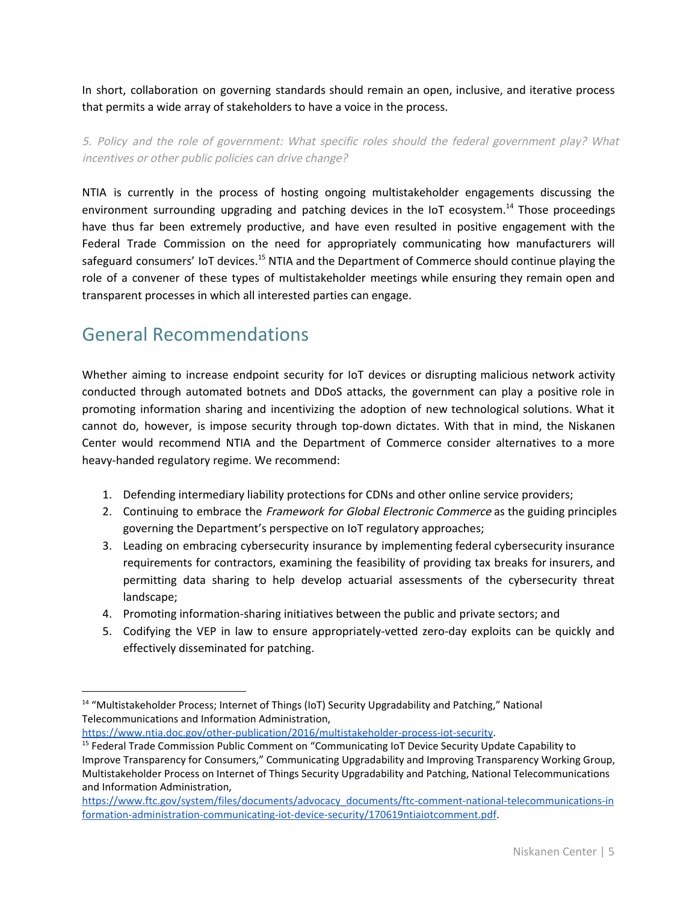In short, collaboration on governing standards should remain an open, inclusive, and iterative process that permits a wide array of stakeholders to have a voice in the process.

5. Policy and the role of government: What specific roles should the federal government play? What incentives or other public policies can drive change?

NTIA is currently in the process of hosting ongoing multistakeholder engagements discussing the environment surrounding upgrading and patching devices in the IoT ecosystem.<sup>14</sup> Those proceedings have thus far been extremely productive, and have even resulted in positive engagement with the Federal Trade Commission on the need for appropriately communicating how manufacturers will safeguard consumers' IoT devices.<sup>15</sup> NTIA and the Department of Commerce should continue playing the role of a convener of these types of multistakeholder meetings while ensuring they remain open and transparent processes in which all interested parties can engage.

# General Recommendations

Whether aiming to increase endpoint security for IoT devices or disrupting malicious network activity conducted through automated botnets and DDoS attacks, the government can play a positive role in promoting information sharing and incentivizing the adoption of new technological solutions. What it cannot do, however, is impose security through top-down dictates. With that in mind, the Niskanen Center would recommend NTIA and the Department of Commerce consider alternatives to a more heavy-handed regulatory regime. We recommend:

- 1. Defending intermediary liability protections for CDNs and other online service providers;
- 2. Continuing to embrace the *Framework for Global Electronic Commerce* as the guiding principles governing the Department's perspective on IoT regulatory approaches;
- 3. Leading on embracing cybersecurity insurance by implementing federal cybersecurity insurance requirements for contractors, examining the feasibility of providing tax breaks for insurers, and permitting data sharing to help develop actuarial assessments of the cybersecurity threat landscape;
- 4. Promoting information-sharing initiatives between the public and private sectors; and
- 5. Codifying the VEP in law to ensure appropriately-vetted zero-day exploits can be quickly and effectively disseminated for patching.

[https://www.ntia.doc.gov/other-publication/2016/multistakeholder-process-iot-security.](https://www.ntia.doc.gov/other-publication/2016/multistakeholder-process-iot-security)

<sup>&</sup>lt;sup>14</sup> "Multistakeholder Process; Internet of Things (IoT) Security Upgradability and Patching," National Telecommunications and Information Administration,

<sup>&</sup>lt;sup>15</sup> Federal Trade Commission Public Comment on "Communicating IoT Device Security Update Capability to Improve Transparency for Consumers," Communicating Upgradability and Improving Transparency Working Group, Multistakeholder Process on Internet of Things Security Upgradability and Patching, National Telecommunications and Information Administration,

[https://www.ftc.gov/system/files/documents/advocacy\\_documents/ftc-comment-national-telecommunications-in](https://www.ftc.gov/system/files/documents/advocacy_documents/ftc-comment-national-telecommunications-information-administration-communicating-iot-device-security/170619ntiaiotcomment.pdf) [formation-administration-communicating-iot-device-security/170619ntiaiotcomment.pdf.](https://www.ftc.gov/system/files/documents/advocacy_documents/ftc-comment-national-telecommunications-information-administration-communicating-iot-device-security/170619ntiaiotcomment.pdf)